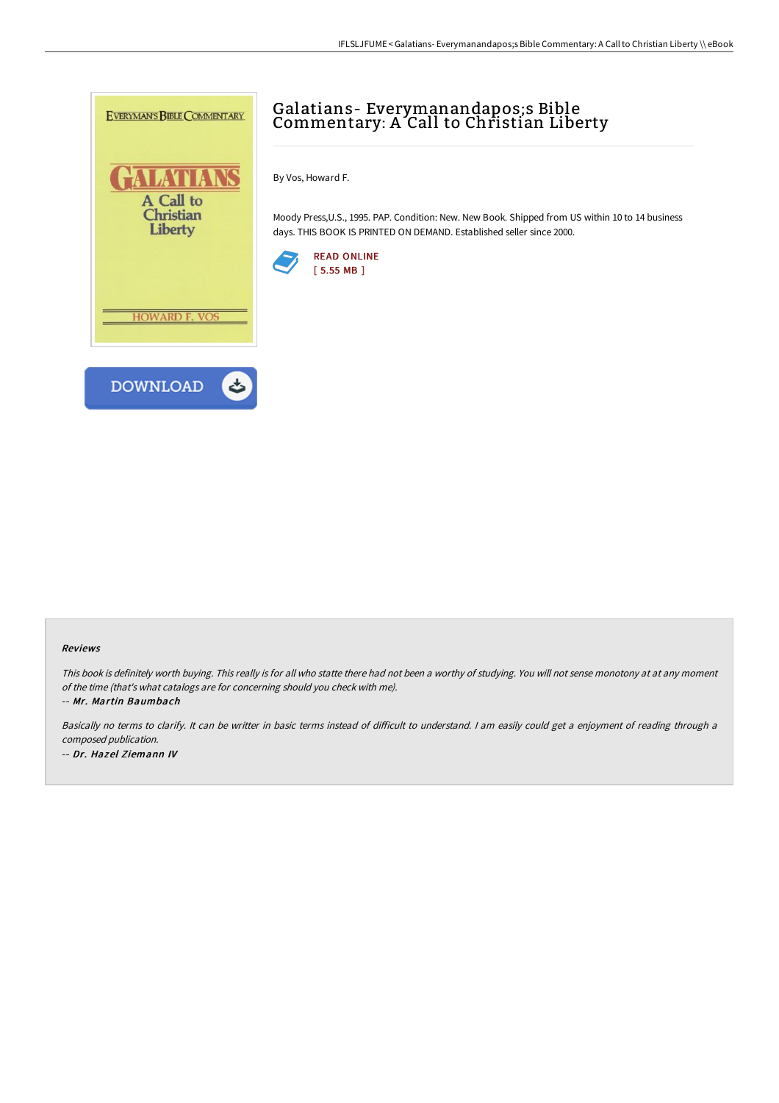

## Galatians- Everymanandapos;s Bible Commentary: A Call to Christian Liberty

By Vos, Howard F.

Moody Press,U.S., 1995. PAP. Condition: New. New Book. Shipped from US within 10 to 14 business days. THIS BOOK IS PRINTED ON DEMAND. Established seller since 2000.



## Reviews

This book is definitely worth buying. This really is for all who statte there had not been <sup>a</sup> worthy of studying. You will not sense monotony at at any moment of the time (that's what catalogs are for concerning should you check with me).

-- Mr. Martin Baumbach

Basically no terms to clarify. It can be writter in basic terms instead of difficult to understand. I am easily could get a enjoyment of reading through a composed publication. -- Dr. Hazel Ziemann IV